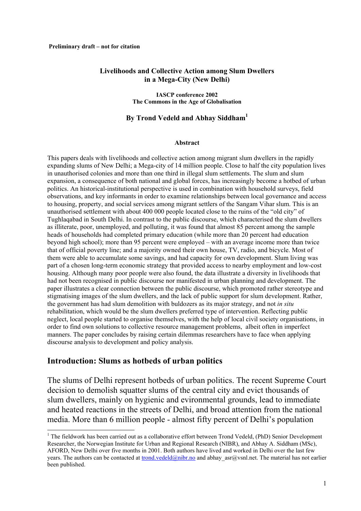#### **Livelihoods and Collective Action among Slum Dwellers in a Mega-City (New Delhi)**

**IASCP conference 2002 The Commons in the Age of Globalisation**

#### **By Trond Vedeld and Abhay Siddham[1](#page-0-0)**

#### **Abstract**

This papers deals with livelihoods and collective action among migrant slum dwellers in the rapidly expanding slums of New Delhi; a Mega-city of 14 million people. Close to half the city population lives in unauthorised colonies and more than one third in illegal slum settlements. The slum and slum expansion, a consequence of both national and global forces, has increasingly become a hotbed of urban politics. An historical-institutional perspective is used in combination with household surveys, field observations, and key informants in order to examine relationships between local governance and access to housing, property, and social services among migrant settlers of the Sangam Vihar slum. This is an unauthorised settlement with about 400 000 people located close to the ruins of the "old city" of Tughlaqabad in South Delhi. In contrast to the public discourse, which characterised the slum dwellers as illiterate, poor, unemployed, and polluting, it was found that almost 85 percent among the sample heads of households had completed primary education (while more than 20 percent had education beyond high school); more than 95 percent were employed – with an average income more than twice that of official poverty line; and a majority owned their own house, TV, radio, and bicycle. Most of them were able to accumulate some savings, and had capacity for own development. Slum living was part of a chosen long-term economic strategy that provided access to nearby employment and low-cost housing. Although many poor people were also found, the data illustrate a diversity in livelihoods that had not been recognised in public discourse nor manifested in urban planning and development. The paper illustrates a clear connection between the public discourse, which promoted rather stereotype and stigmatising images of the slum dwellers, and the lack of public support for slum development. Rather, the government has had slum demolition with buldozers as its major strategy, and not *in situ* rehabilitation, which would be the slum dwellers preferred type of intervention. Reflecting public neglect, local people started to organise themselves, with the help of local civil society organisations, in order to find own solutions to collective resource management problems, albeit often in imperfect manners. The paper concludes by raising certain dilemmas researchers have to face when applying discourse analysis to development and policy analysis.

#### **Introduction: Slums as hotbeds of urban politics**

The slums of Delhi represent hotbeds of urban politics. The recent Supreme Court decision to demolish squatter slums of the central city and evict thousands of slum dwellers, mainly on hygienic and evironmental grounds, lead to immediate and heated reactions in the streets of Delhi, and broad attention from the national media. More than 6 million people - almost fifty percent of Delhi's population

<span id="page-0-0"></span><sup>|&</sup>lt;br>|<br>|  $<sup>1</sup>$  The fieldwork has been carried out as a collaborative effort between Trond Vedeld. (PhD) Senior Development</sup> Researcher, the Norwegian Institute for Urban and Regional Research (NIBR), and Abhay A. Siddham (MSc), AFORD, New Delhi over five months in 2001. Both authors have lived and worked in Delhi over the last few years. The authors can be contacted at [trond.vedeld@nibr.no](mailto:trond.vedeld@nibr.no) and abhay asr@vsnl.net. The material has not earlier been published.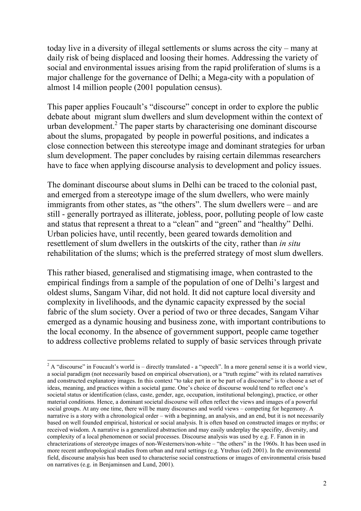today live in a diversity of illegal settlements or slums across the city – many at daily risk of being displaced and loosing their homes. Addressing the variety of social and environmental issues arising from the rapid proliferation of slums is a major challenge for the governance of Delhi; a Mega-city with a population of almost 14 million people (2001 population census).

This paper applies Foucault's "discourse" concept in order to explore the public debate about migrant slum dwellers and slum development within the context of urban development.<sup>2</sup> The paper starts by characterising one dominant discourse about the slums, propagated by people in powerful positions, and indicates a close connection between this stereotype image and dominant strategies for urban slum development. The paper concludes by raising certain dilemmas researchers have to face when applying discourse analysis to development and policy issues.

The dominant discourse about slums in Delhi can be traced to the colonial past, and emerged from a stereotype image of the slum dwellers, who were mainly immigrants from other states, as "the others". The slum dwellers were – and are still - generally portrayed as illiterate, jobless, poor, polluting people of low caste and status that represent a threat to a "clean" and "green" and "healthy" Delhi. Urban policies have, until recently, been geared towards demolition and resettlement of slum dwellers in the outskirts of the city, rather than *in situ*  rehabilitation of the slums; which is the preferred strategy of most slum dwellers.

This rather biased, generalised and stigmatising image, when contrasted to the empirical findings from a sample of the population of one of Delhi's largest and oldest slums, Sangam Vihar, did not hold. It did not capture local diversity and complexity in livelihoods, and the dynamic capacity expressed by the social fabric of the slum society. Over a period of two or three decades, Sangam Vihar emerged as a dynamic housing and business zone, with important contributions to the local economy. In the absence of government support, people came together to address collective problems related to supply of basic services through private

<span id="page-1-0"></span> $\frac{1}{2}$  $2A$  "discourse" in Foucault's world is – directly translated - a "speech". In a more general sense it is a world view, a social paradigm (not necessarily based on empirical observation), or a "truth regime" with its related narratives and constructed explanatory images. In this context "to take part in or be part of a discourse" is to choose a set of ideas, meaning, and practices within a societal game. One's choice of discourse would tend to reflect one's societal status or identification (class, caste, gender, age, occupation, institutional belonging), practice, or other material conditions. Hence, a dominant societal discourse will often reflect the views and images of a powerful social groups. At any one time, there will be many discourses and world views – competing for hegemony. A narrative is a story with a chronological order – with a beginning, an analysis, and an end, but it is not necessarily based on well founded empirical, historical or social analysis. It is often based on constructed images or myths; or received wisdom. A narrative is a generalized abstraction and may easily underplay the specifity, diversity, and complexity of a local phenomenon or social processes. Discourse analysis was used by e.g. F. Fanon in in chracterizations of stereotype images of non-Westerners/non-white – "the others" in the 1960s. It has been used in more recent anthropological studies from urban and rural settings (e.g. Ytrehus (ed) 2001). In the environmental field, discourse analysis has been used to characterise social constructions or images of environmental crisis based on narratives (e.g. in Benjaminsen and Lund, 2001).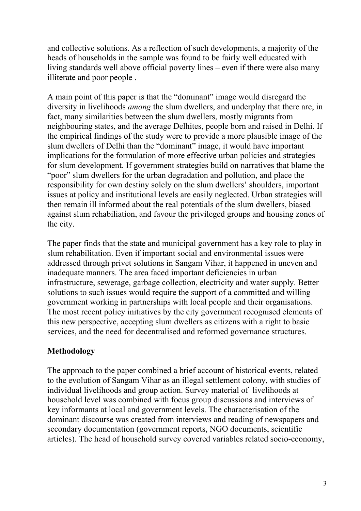and collective solutions. As a reflection of such developments, a majority of the heads of households in the sample was found to be fairly well educated with living standards well above official poverty lines – even if there were also many illiterate and poor people .

A main point of this paper is that the "dominant" image would disregard the diversity in livelihoods *among* the slum dwellers, and underplay that there are, in fact, many similarities between the slum dwellers, mostly migrants from neighbouring states, and the average Delhites, people born and raised in Delhi. If the empirical findings of the study were to provide a more plausible image of the slum dwellers of Delhi than the "dominant" image, it would have important implications for the formulation of more effective urban policies and strategies for slum development. If government strategies build on narratives that blame the "poor" slum dwellers for the urban degradation and pollution, and place the responsibility for own destiny solely on the slum dwellers' shoulders, important issues at policy and institutional levels are easily neglected. Urban strategies will then remain ill informed about the real potentials of the slum dwellers, biased against slum rehabiliation, and favour the privileged groups and housing zones of the city.

The paper finds that the state and municipal government has a key role to play in slum rehabilitation. Even if important social and environmental issues were addressed through privet solutions in Sangam Vihar, it happened in uneven and inadequate manners. The area faced important deficiencies in urban infrastructure, sewerage, garbage collection, electricity and water supply. Better solutions to such issues would require the support of a committed and willing government working in partnerships with local people and their organisations. The most recent policy initiatives by the city government recognised elements of this new perspective, accepting slum dwellers as citizens with a right to basic services, and the need for decentralised and reformed governance structures.

## **Methodology**

The approach to the paper combined a brief account of historical events, related to the evolution of Sangam Vihar as an illegal settlement colony, with studies of individual livelihoods and group action. Survey material of livelihoods at household level was combined with focus group discussions and interviews of key informants at local and government levels. The characterisation of the dominant discourse was created from interviews and reading of newspapers and secondary documentation (government reports, NGO documents, scientific articles). The head of household survey covered variables related socio-economy,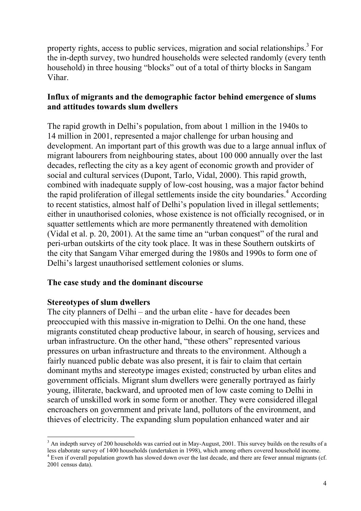property rights, access to public services, migration and social relationships.<sup>[3](#page-3-0)</sup> For the in-depth survey, two hundred households were selected randomly (every tenth household) in three housing "blocks" out of a total of thirty blocks in Sangam Vihar.

## **Influx of migrants and the demographic factor behind emergence of slums and attitudes towards slum dwellers**

The rapid growth in Delhi's population, from about 1 million in the 1940s to 14 million in 2001, represented a major challenge for urban housing and development. An important part of this growth was due to a large annual influx of migrant labourers from neighbouring states, about 100 000 annually over the last decades, reflecting the city as a key agent of economic growth and provider of social and cultural services (Dupont, Tarlo, Vidal, 2000). This rapid growth, combined with inadequate supply of low-cost housing, was a major factor behind the rapid proliferation of illegal settlements inside the city boundaries. $4$  According to recent statistics, almost half of Delhi's population lived in illegal settlements; either in unauthorised colonies, whose existence is not officially recognised, or in squatter settlements which are more permanently threatened with demolition (Vidal et al. p. 20, 2001). At the same time an "urban conquest" of the rural and peri-urban outskirts of the city took place. It was in these Southern outskirts of the city that Sangam Vihar emerged during the 1980s and 1990s to form one of Delhi's largest unauthorised settlement colonies or slums.

## **The case study and the dominant discourse**

### **Stereotypes of slum dwellers**

The city planners of Delhi – and the urban elite - have for decades been preoccupied with this massive in-migration to Delhi. On the one hand, these migrants constituted cheap productive labour, in search of housing, services and urban infrastructure. On the other hand, "these others" represented various pressures on urban infrastructure and threats to the environment. Although a fairly nuanced public debate was also present, it is fair to claim that certain dominant myths and stereotype images existed; constructed by urban elites and government officials. Migrant slum dwellers were generally portrayed as fairly young, illiterate, backward, and uprooted men of low caste coming to Delhi in search of unskilled work in some form or another. They were considered illegal encroachers on government and private land, pollutors of the environment, and thieves of electricity. The expanding slum population enhanced water and air

<span id="page-3-1"></span><span id="page-3-0"></span> <sup>3</sup> <sup>3</sup> An indepth survey of 200 households was carried out in May-August, 2001. This survey builds on the results of a less elaborate survey of 1400 households (undertaken in 1998), which among others covered household income. 4  $4$  Even if overall population growth has slowed down over the last decade, and there are fewer annual migrants (cf. 2001 census data).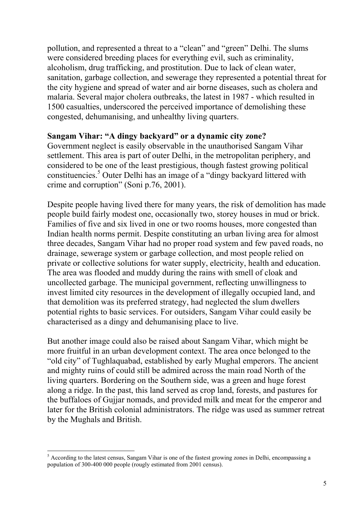pollution, and represented a threat to a "clean" and "green" Delhi. The slums were considered breeding places for everything evil, such as criminality, alcoholism, drug trafficking, and prostitution. Due to lack of clean water, sanitation, garbage collection, and sewerage they represented a potential threat for the city hygiene and spread of water and air borne diseases, such as cholera and malaria. Several major cholera outbreaks, the latest in 1987 - which resulted in 1500 casualties, underscored the perceived importance of demolishing these congested, dehumanising, and unhealthy living quarters.

### **Sangam Vihar: "A dingy backyard" or a dynamic city zone?**

Government neglect is easily observable in the unauthorised Sangam Vihar settlement. This area is part of outer Delhi, in the metropolitan periphery, and considered to be one of the least prestigious, though fastest growing political constituencies.<sup>[5](#page-4-0)</sup> Outer Delhi has an image of a "dingy backyard littered with crime and corruption" (Soni p.76, 2001).

Despite people having lived there for many years, the risk of demolition has made people build fairly modest one, occasionally two, storey houses in mud or brick. Families of five and six lived in one or two rooms houses, more congested than Indian health norms permit. Despite constituting an urban living area for almost three decades, Sangam Vihar had no proper road system and few paved roads, no drainage, sewerage system or garbage collection, and most people relied on private or collective solutions for water supply, electricity, health and education. The area was flooded and muddy during the rains with smell of cloak and uncollected garbage. The municipal government, reflecting unwillingness to invest limited city resources in the development of illegally occupied land, and that demolition was its preferred strategy, had neglected the slum dwellers potential rights to basic services. For outsiders, Sangam Vihar could easily be characterised as a dingy and dehumanising place to live.

But another image could also be raised about Sangam Vihar, which might be more fruitful in an urban development context. The area once belonged to the "old city" of Tughlaquabad, established by early Mughal emperors. The ancient and mighty ruins of could still be admired across the main road North of the living quarters. Bordering on the Southern side, was a green and huge forest along a ridge. In the past, this land served as crop land, forests, and pastures for the buffaloes of Gujjar nomads, and provided milk and meat for the emperor and later for the British colonial administrators. The ridge was used as summer retreat by the Mughals and British.

<span id="page-4-0"></span> <sup>5</sup>  $<sup>5</sup>$  According to the latest census, Sangam Vihar is one of the fastest growing zones in Delhi, encompassing a</sup> population of 300-400 000 people (rougly estimated from 2001 census).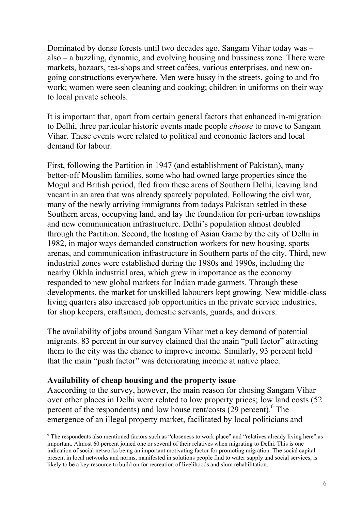Dominated by dense forests until two decades ago, Sangam Vihar today was – also – a buzzling, dynamic, and evolving housing and bussiness zone. There were markets, bazaars, tea-shops and street cafées, various enterprises, and new ongoing constructions everywhere. Men were bussy in the streets, going to and fro work; women were seen cleaning and cooking; children in uniforms on their way to local private schools.

It is important that, apart from certain general factors that enhanced in-migration to Delhi, three particular historic events made people *choose* to move to Sangam Vihar. These events were related to political and economic factors and local demand for labour.

First, following the Partition in 1947 (and establishment of Pakistan), many better-off Mouslim families, some who had owned large properties since the Mogul and British period, fled from these areas of Southern Delhi, leaving land vacant in an area that was already sparcely populated. Following the civl war, many of the newly arriving immigrants from todays Pakistan settled in these Southern areas, occupying land, and lay the foundation for peri-urban townships and new communication infrastructure. Delhi's population almost doubled through the Partition. Second, the hosting of Asian Game by the city of Delhi in 1982, in major ways demanded construction workers for new housing, sports arenas, and communication infrastructure in Southern parts of the city. Third, new industrial zones were established during the 1980s and 1990s, including the nearby Okhla industrial area, which grew in importance as the economy responded to new global markets for Indian made garmets. Through these developments, the market for unskilled labourers kept growing. New middle-class living quarters also increased job opportunities in the private service industries, for shop keepers, craftsmen, domestic servants, guards, and drivers.

The availability of jobs around Sangam Vihar met a key demand of potential migrants. 83 percent in our survey claimed that the main "pull factor" attracting them to the city was the chance to improve income. Similarly, 93 percent held that the main "push factor" was deteriorating income at native place.

### **Availability of cheap housing and the property issue**

Aaccording to the survey, however, the main reason for chosing Sangam Vihar over other places in Delhi were related to low property prices; low land costs (52 percent of the respondents) and low house rent/costs (29 percent).<sup>[6](#page-5-0)</sup> The emergence of an illegal property market, facilitated by local politicians and

<span id="page-5-0"></span> <sup>6</sup> <sup>6</sup> The respondents also mentioned factors such as "closeness to work place" and "relatives already living here" as important. Almost 60 percent joined one or several of their relatives when migrating to Delhi. This is one indication of social networks being an important motivating factor for promoting migration. The social capital present in local networks and norms, manifested in solutions people find to water supply and social services, is likely to be a key resource to build on for recreation of livelihoods and slum rehabilitation.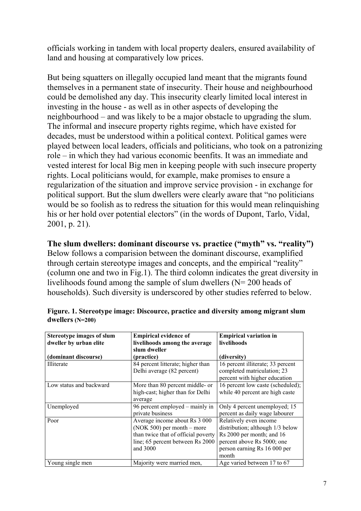officials working in tandem with local property dealers, ensured availability of land and housing at comparatively low prices.

But being squatters on illegally occupied land meant that the migrants found themselves in a permanent state of insecurity. Their house and neighbourhood could be demolished any day. This insecurity clearly limited local interest in investing in the house - as well as in other aspects of developing the neighbourhood – and was likely to be a major obstacle to upgrading the slum. The informal and insecure property rights regime, which have existed for decades, must be understood within a political context. Political games were played between local leaders, officials and politicians, who took on a patronizing role – in which they had various economic beenfits. It was an immediate and vested interest for local Big men in keeping people with such insecure property rights. Local politicians would, for example, make promises to ensure a regularization of the situation and improve service provision - in exchange for political support. But the slum dwellers were clearly aware that "no politicians would be so foolish as to redress the situation for this would mean relinquishing his or her hold over potential electors" (in the words of Dupont, Tarlo, Vidal, 2001, p. 21).

**The slum dwellers: dominant discourse vs. practice ("myth" vs. "reality")** 

Below follows a comparision between the dominant discourse, examplified through certain stereotype images and concepts, and the empirical "reality" (column one and two in Fig.1). The third colomn indicates the great diversity in livelihoods found among the sample of slum dwellers (N= 200 heads of households). Such diversity is underscored by other studies referred to below.

| <b>Stereotype images of slum</b> | <b>Empirical evidence of</b>        | <b>Empirical variation in</b>     |
|----------------------------------|-------------------------------------|-----------------------------------|
| dweller by urban elite           | livelihoods among the average       | livelihoods                       |
|                                  | slum dweller                        |                                   |
| (dominant discourse)             | (practice)                          | (diversity)                       |
| <b>Illiterate</b>                | 84 percent litterate; higher than   | 16 percent illiterate; 33 percent |
|                                  | Delhi average (82 percent)          | completed matriculation; 23       |
|                                  |                                     | percent with higher education     |
| Low status and backward          | More than 80 percent middle- or     | 16 percent low caste (scheduled); |
|                                  | high-cast; higher than for Delhi    | while 40 percent are high caste   |
|                                  | average                             |                                   |
| Unemployed                       | 96 percent employed – mainly in     | Only 4 percent unemployed; 15     |
|                                  | private business                    | percent as daily wage labourer    |
| Poor                             | Average income about Rs 3 000       | Relatively even income            |
|                                  | $(NOK 500)$ per month – more        | distribution; although 1/3 below  |
|                                  | than twice that of official poverty | Rs 2000 per month; and 16         |
|                                  | line; 65 percent between Rs 2000    | percent above Rs 5000; one        |
|                                  | and 3000                            | person earning Rs 16 000 per      |
|                                  |                                     | month                             |
| Young single men                 | Majority were married men,          | Age varied between 17 to 67       |

| Figure. 1. Stereotype image: Discource, practice and diversity among migrant slum |  |
|-----------------------------------------------------------------------------------|--|
| dwellers $(N=200)$                                                                |  |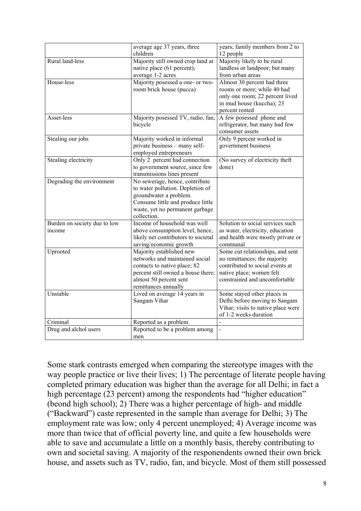|                                        | average age 37 years, three                                                                                                                                                         | years; family members from 2 to                                                                                                                                  |
|----------------------------------------|-------------------------------------------------------------------------------------------------------------------------------------------------------------------------------------|------------------------------------------------------------------------------------------------------------------------------------------------------------------|
|                                        | children                                                                                                                                                                            | 12 people                                                                                                                                                        |
| Rural land-less                        | Majority still owned crop land at<br>native place (61 percent);<br>average 1-2 acres                                                                                                | Majority likely to be rural<br>landless or landpoor; but many<br>from urban areas                                                                                |
| House-less                             | Majority posessed a one- or two-<br>room brick house (pucca)                                                                                                                        | Almost 30 percent had three<br>rooms or more; while 40 had<br>only one room; 22 percent lived<br>in mud house (kuccha); 23<br>percent rented                     |
| Asset-less                             | Majority posessed TV, radio, fan,<br>bicycle                                                                                                                                        | A few posessed phone and<br>refrigerator, but many had few<br>consumer assets                                                                                    |
| Stealing our jobs                      | Majority worked in informal<br>private business - many self-<br>employed entrepreneurs                                                                                              | Only 9 percent worked in<br>government business                                                                                                                  |
| Stealing electricity                   | Only 2 percent had connection<br>to government source, since few<br>transmissions lines present                                                                                     | (No survey of electricity theft<br>done)                                                                                                                         |
| Degrading the environment              | No sewerage, hence, contribute<br>to water pollution. Depletion of<br>groundwater a problem.<br>Consume little and produce little<br>waste, yet no permanent garbage<br>collection. |                                                                                                                                                                  |
| Burden on society due to low<br>income | Income of household was well<br>above consumption level, hence,<br>likely net contributors to societal<br>saving/economic growth                                                    | Solution to social services such<br>as water, electricity, education<br>and health were mostly private or<br>communal                                            |
| Uprooted                               | Majority established new<br>networks and maintained social<br>contacts to native place; 82<br>percent still owned a house there;<br>almost 50 percent sent<br>remittances annually  | Some cut relationships, and sent<br>no remittances; the majority<br>contributed to social events at<br>native place; women felt<br>constrained and uncomfortable |
| Unstable                               | Lived on average 14 years in<br>Sangam Vihar                                                                                                                                        | Some stayed other places in<br>Delhi before moving to Sangam<br>Vihar; visits to native place were<br>of 1-2 weeks duration                                      |
| Criminal                               | Reported as a problem                                                                                                                                                               |                                                                                                                                                                  |
| Drug and alchol users                  | Reported to be a problem among<br>men                                                                                                                                               | $\blacksquare$                                                                                                                                                   |

Some stark contrasts emerged when comparing the stereotype images with the way people practice or live their lives; 1) The percentage of literate people having completed primary education was higher than the average for all Delhi; in fact a high percentage (23 percent) among the respondents had "higher education" (beond high school); 2) There was a higher percentage of high- and middle ("Backward") caste represented in the sample than average for Delhi; 3) The employment rate was low; only 4 percent unemployed; 4) Average income was more than twice that of official poverty line, and quite a few households were able to save and accumulate a little on a monthly basis, thereby contributing to own and societal saving. A majority of the responendents owned their own brick house, and assets such as TV, radio, fan, and bicycle. Most of them still possessed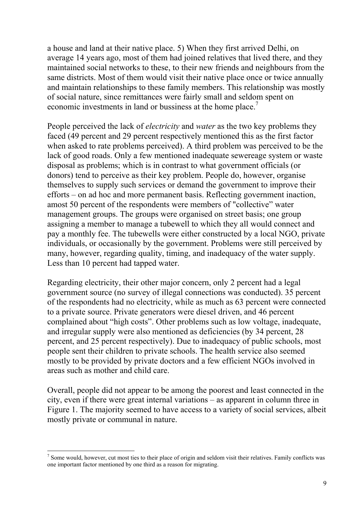a house and land at their native place. 5) When they first arrived Delhi, on average 14 years ago, most of them had joined relatives that lived there, and they maintained social networks to these, to their new friends and neighbours from the same districts. Most of them would visit their native place once or twice annually and maintain relationships to these family members. This relationship was mostly of social nature, since remittances were fairly small and seldom spent on economic investments in land or bussiness at the home place.<sup>[7](#page-8-0)</sup>

People perceived the lack of *electricity* and *water* as the two key problems they faced (49 percent and 29 percent respectively mentioned this as the first factor when asked to rate problems perceived). A third problem was perceived to be the lack of good roads. Only a few mentioned inadequate sewereage system or waste disposal as problems; which is in contrast to what government officials (or donors) tend to perceive as their key problem. People do, however, organise themselves to supply such services or demand the government to improve their efforts – on ad hoc and more permanent basis. Reflecting government inaction, amost 50 percent of the respondents were members of "collective" water management groups. The groups were organised on street basis; one group assigning a member to manage a tubewell to which they all would connect and pay a monthly fee. The tubewells were either constructed by a local NGO, private individuals, or occasionally by the government. Problems were still perceived by many, however, regarding quality, timing, and inadequacy of the water supply. Less than 10 percent had tapped water.

Regarding electricity, their other major concern, only 2 percent had a legal government source (no survey of illegal connections was conducted). 35 percent of the respondents had no electricity, while as much as 63 percent were connected to a private source. Private generators were diesel driven, and 46 percent complained about "high costs". Other problems such as low voltage, inadequate, and irregular supply were also mentioned as deficiencies (by 34 percent, 28 percent, and 25 percent respectively). Due to inadequacy of public schools, most people sent their children to private schools. The health service also seemed mostly to be provided by private doctors and a few efficient NGOs involved in areas such as mother and child care.

Overall, people did not appear to be among the poorest and least connected in the city, even if there were great internal variations – as apparent in column three in Figure 1. The majority seemed to have access to a variety of social services, albeit mostly private or communal in nature.

<span id="page-8-0"></span><sup>&</sup>lt;sup>-</sup>  $\frac{7}{1}$  Some would, however, cut most ties to their place of origin and seldom visit their relatives. Family conflicts was one important factor mentioned by one third as a reason for migrating.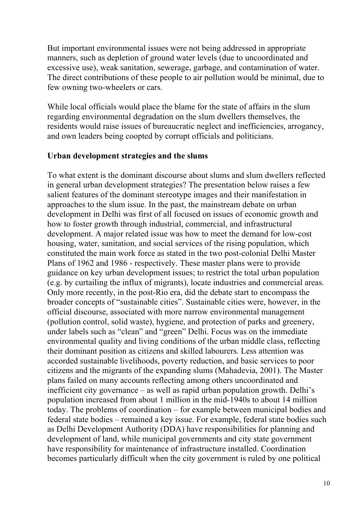But important environmental issues were not being addressed in appropriate manners, such as depletion of ground water levels (due to uncoordinated and excessive use), weak sanitation, sewerage, garbage, and contamination of water. The direct contributions of these people to air pollution would be minimal, due to few owning two-wheelers or cars.

While local officials would place the blame for the state of affairs in the slum regarding environmental degradation on the slum dwellers themselves, the residents would raise issues of bureaucratic neglect and inefficiencies, arrogancy, and own leaders being coopted by corrupt officials and politicians.

### **Urban development strategies and the slums**

To what extent is the dominant discourse about slums and slum dwellers reflected in general urban development strategies? The presentation below raises a few salient features of the dominant stereotype images and their manifestation in approaches to the slum issue. In the past, the mainstream debate on urban development in Delhi was first of all focused on issues of economic growth and how to foster growth through industrial, commercial, and infrastructural development. A major related issue was how to meet the demand for low-cost housing, water, sanitation, and social services of the rising population, which constituted the main work force as stated in the two post-colonial Delhi Master Plans of 1962 and 1986 - respectively. These master plans were to provide guidance on key urban development issues; to restrict the total urban population (e.g. by curtailing the influx of migrants), locate industries and commercial areas. Only more recently, in the post-Rio era, did the debate start to encompass the broader concepts of "sustainable cities". Sustainable cities were, however, in the official discourse, associated with more narrow environmental management (pollution control, solid waste), hygiene, and protection of parks and greenery, under labels such as "clean" and "green" Delhi. Focus was on the immediate environmental quality and living conditions of the urban middle class, reflecting their dominant position as citizens and skilled labourers. Less attention was accorded sustainable livelihoods, poverty reduction, and basic services to poor citizens and the migrants of the expanding slums (Mahadevia, 2001). The Master plans failed on many accounts reflecting among others uncoordinated and inefficient city governance – as well as rapid urban population growth. Delhi's population increased from about 1 million in the mid-1940s to about 14 million today. The problems of coordination – for example between municipal bodies and federal state bodies – remained a key issue. For example, federal state bodies such as Delhi Development Authority (DDA) have responsibilities for planning and development of land, while municipal governments and city state government have responsibility for maintenance of infrastructure installed. Coordination becomes particularly difficult when the city government is ruled by one political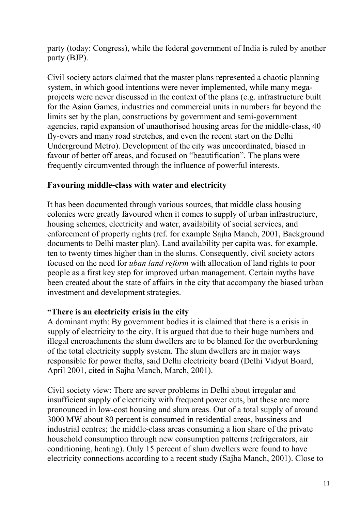party (today: Congress), while the federal government of India is ruled by another party (BJP).

Civil society actors claimed that the master plans represented a chaotic planning system, in which good intentions were never implemented, while many megaprojects were never discussed in the context of the plans (e.g. infrastructure built for the Asian Games, industries and commercial units in numbers far beyond the limits set by the plan, constructions by government and semi-government agencies, rapid expansion of unauthorised housing areas for the middle-class, 40 fly-overs and many road stretches, and even the recent start on the Delhi Underground Metro). Development of the city was uncoordinated, biased in favour of better off areas, and focused on "beautification". The plans were frequently circumvented through the influence of powerful interests.

## **Favouring middle-class with water and electricity**

It has been documented through various sources, that middle class housing colonies were greatly favoured when it comes to supply of urban infrastructure, housing schemes, electricity and water, availability of social services, and enforcement of property rights (ref. for example Sajha Manch, 2001, Background documents to Delhi master plan). Land availability per capita was, for example, ten to twenty times higher than in the slums. Consequently, civil society actors focused on the need for *uban land reform* with allocation of land rights to poor people as a first key step for improved urban management. Certain myths have been created about the state of affairs in the city that accompany the biased urban investment and development strategies.

### **"There is an electricity crisis in the city**

A dominant myth: By government bodies it is claimed that there is a crisis in supply of electricity to the city. It is argued that due to their huge numbers and illegal encroachments the slum dwellers are to be blamed for the overburdening of the total electricity supply system. The slum dwellers are in major ways responsible for power thefts, said Delhi electricity board (Delhi Vidyut Board, April 2001, cited in Sajha Manch, March, 2001).

Civil society view: There are sever problems in Delhi about irregular and insufficient supply of electricity with frequent power cuts, but these are more pronounced in low-cost housing and slum areas. Out of a total supply of around 3000 MW about 80 percent is consumed in residential areas, bussiness and industrial centres; the middle-class areas consuming a lion share of the private household consumption through new consumption patterns (refrigerators, air conditioning, heating). Only 15 percent of slum dwellers were found to have electricity connections according to a recent study (Sajha Manch, 2001). Close to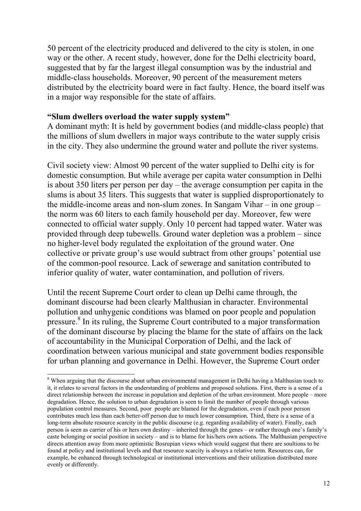50 percent of the electricity produced and delivered to the city is stolen, in one way or the other. A recent study, however, done for the Delhi electricity board, suggested that by far the largest illegal consumption was by the industrial and middle-class households. Moreover, 90 percent of the measurement meters distributed by the electricity board were in fact faulty. Hence, the board itself was in a major way responsible for the state of affairs.

#### **"Slum dwellers overload the water supply system"**

A dominant myth: It is held by government bodies (and middle-class people) that the millions of slum dwellers in major ways contribute to the water supply crisis in the city. They also undermine the ground water and pollute the river systems.

Civil society view: Almost 90 percent of the water supplied to Delhi city is for domestic consumption. But while average per capita water consumption in Delhi is about 350 liters per person per day – the average consumption per capita in the slums is about 35 liters. This suggests that water is supplied disproportionately to the middle-income areas and non-slum zones. In Sangam Vihar – in one group – the norm was 60 liters to each family household per day. Moreover, few were connected to official water supply. Only 10 percent had tapped water. Water was provided through deep tubewells. Ground water depletion was a problem – since no higher-level body regulated the exploitation of the ground water. One collective or private group's use would subtract from other groups' potential use of the common-pool resource. Lack of sewerage and sanitation contributed to inferior quality of water, water contamination, and pollution of rivers.

Until the recent Supreme Court order to clean up Delhi came through, the dominant discourse had been clearly Malthusian in character. Environmental pollution and unhygenic conditions was blamed on poor people and population pressure.<sup>8</sup> In its ruling, the Supreme Court contributed to a major transformation of the dominant discourse by placing the blame for the state of affairs on the lack of accountability in the Municipal Corporation of Delhi, and the lack of coordination between various municipal and state government bodies responsible for urban planning and governance in Delhi. However, the Supreme Court order

<span id="page-11-0"></span> $\frac{1}{8}$ <sup>8</sup> When arguing that the discourse about urban environmental management in Delhi having a Malthusian touch to it, it relates to several factors in the understanding of problems and proposed solutions. First, there is a sense of a direct relationship between the increase in population and depletion of the urban environment. More people – more degradation. Hence, the solution to urban degradation is seen to limit the number of people through various population control measures. Second, poor people are blamed for the degradation, even if each poor person contributes much less than each better-off person due to much lower consumption. Third, there is a sense of a long-term absolute resource scarcity in the public discourse (e.g. regarding availability of water). Finally, each person is seen as carrier of his or hers own destiny – inherited through the genes – or rather through one's family's caste belonging or social position in society – and is to blame for his/hers own actions. The Malthusian perspective directs attention away from more optimistic Bosrupian views which would suggest that there are soultions to be found at policy and institutional levels and that resource scarcity is always a relative term. Resources can, for example, be enhanced through technological or institutional interventions and their utilization distributed more evenly or differently.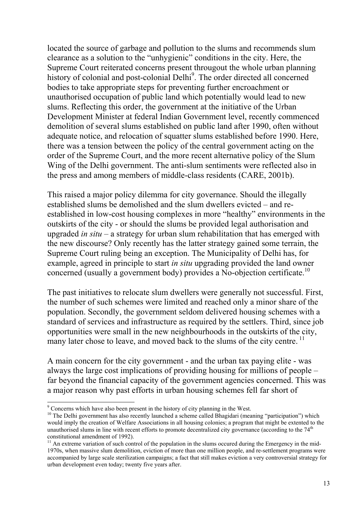located the source of garbage and pollution to the slums and recommends slum clearance as a solution to the "unhygienic" conditions in the city. Here, the Supreme Court reiterated concerns present througout the whole urban planning history of colonial and post-colonial Delhi<sup>[9](#page-12-0)</sup>. The order directed all concerned bodies to take appropriate steps for preventing further encroachment or unauthorised occupation of public land which potentially would lead to new slums. Reflecting this order, the government at the initiative of the Urban Development Minister at federal Indian Government level, recently commenced demolition of several slums established on public land after 1990, often without adequate notice, and relocation of squatter slums established before 1990. Here, there was a tension between the policy of the central government acting on the order of the Supreme Court, and the more recent alternative policy of the Slum Wing of the Delhi government. The anti-slum sentiments were reflected also in the press and among members of middle-class residents (CARE, 2001b).

This raised a major policy dilemma for city governance. Should the illegally established slums be demolished and the slum dwellers evicted – and reestablished in low-cost housing complexes in more "healthy" environments in the outskirts of the city - or should the slums be provided legal authorisation and upgraded *in situ* – a strategy for urban slum rehabilitation that has emerged with the new discourse? Only recently has the latter strategy gained some terrain, the Supreme Court ruling being an exception. The Municipality of Delhi has, for example, agreed in principle to start *in situ* upgrading provided the land owner concerned (usually a government body) provides a No-objection certificate.<sup>10</sup>

The past initiatives to relocate slum dwellers were generally not successful. First, the number of such schemes were limited and reached only a minor share of the population. Secondly, the government seldom delivered housing schemes with a standard of services and infrastructure as required by the settlers. Third, since job opportunities were small in the new neighbourhoods in the outskirts of the city, many later chose to leave, and moved back to the slums of the city centre.<sup>11</sup>

A main concern for the city government - and the urban tax paying elite - was always the large cost implications of providing housing for millions of people – far beyond the financial capacity of the government agencies concerned. This was a major reason why past efforts in urban housing schemes fell far short of

<sup>-&</sup>lt;br>9

<span id="page-12-1"></span><span id="page-12-0"></span> $\degree$  Concerns which have also been present in the history of city planning in the West.<br><sup>10</sup> The Delhi government has also recently launched a scheme called Bhagidari (meaning "participation") which would imply the creation of Welfare Associations in all housing colonies; a program that might be extented to the unauthorised slums in line with recent efforts to promote decentralized city governance (according to the 74<sup>th</sup> constitutional amendment of 1992).<br><sup>11</sup> An extreme variation of such control of the population in the slums occured during the Emergency in the mid-

<span id="page-12-2"></span><sup>1970</sup>s, when massive slum demolition, eviction of more than one million people, and re-settlement programs were accompanied by large scale sterilization campaigns; a fact that still makes eviction a very controversial strategy for urban development even today; twenty five years after.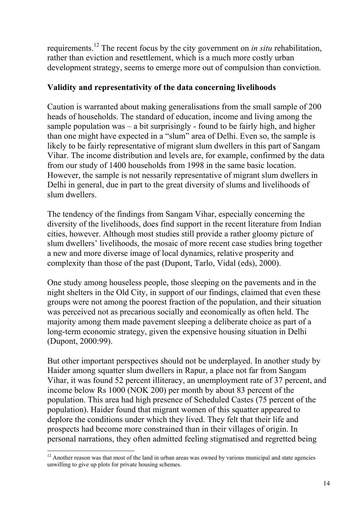requirements.[12 T](#page-13-0)he recent focus by the city government on *in situ* rehabilitation, rather than eviction and resettlement, which is a much more costly urban development strategy, seems to emerge more out of compulsion than conviction.

## **Validity and representativity of the data concerning livelihoods**

Caution is warranted about making generalisations from the small sample of 200 heads of households. The standard of education, income and living among the sample population was  $-$  a bit surprisingly  $-$  found to be fairly high, and higher than one might have expected in a "slum" area of Delhi. Even so, the sample is likely to be fairly representative of migrant slum dwellers in this part of Sangam Vihar. The income distribution and levels are, for example, confirmed by the data from our study of 1400 households from 1998 in the same basic location. However, the sample is not nessarily representative of migrant slum dwellers in Delhi in general, due in part to the great diversity of slums and livelihoods of slum dwellers.

The tendency of the findings from Sangam Vihar, especially concerning the diversity of the livelihoods, does find support in the recent literature from Indian cities, however. Although most studies still provide a rather gloomy picture of slum dwellers' livelihoods, the mosaic of more recent case studies bring together a new and more diverse image of local dynamics, relative prosperity and complexity than those of the past (Dupont, Tarlo, Vidal (eds), 2000).

One study among houseless people, those sleeping on the pavements and in the night shelters in the Old City, in support of our findings, claimed that even these groups were not among the poorest fraction of the population, and their situation was perceived not as precarious socially and economically as often held. The majority among them made pavement sleeping a deliberate choice as part of a long-term economic strategy, given the expensive housing situation in Delhi (Dupont, 2000:99).

But other important perspectives should not be underplayed. In another study by Haider among squatter slum dwellers in Rapur, a place not far from Sangam Vihar, it was found 52 percent illiteracy, an unemployment rate of 37 percent, and income below Rs 1000 (NOK 200) per month by about 83 percent of the population. This area had high presence of Scheduled Castes (75 percent of the population). Haider found that migrant women of this squatter appeared to deplore the conditions under which they lived. They felt that their life and prospects had become more constrained than in their villages of origin. In personal narrations, they often admitted feeling stigmatised and regretted being

<span id="page-13-0"></span><sup>&</sup>lt;sup>12</sup> Another reason was that most of the land in urban areas was owned by various municipal and state agencies unwilling to give up plots for private housing schemes.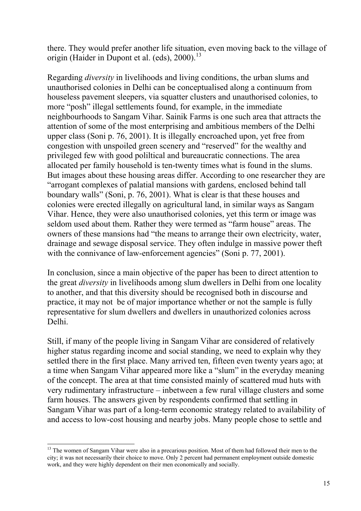there. They would prefer another life situation, even moving back to the village of origin (Haider in Dupont et al. (eds),  $2000$ .<sup>13</sup>

Regarding *diversity* in livelihoods and living conditions, the urban slums and unauthorised colonies in Delhi can be conceptualised along a continuum from houseless pavement sleepers, via squatter clusters and unauthorised colonies, to more "posh" illegal settlements found, for example, in the immediate neighbourhoods to Sangam Vihar. Sainik Farms is one such area that attracts the attention of some of the most enterprising and ambitious members of the Delhi upper class (Soni p. 76, 2001). It is illegally encroached upon, yet free from congestion with unspoiled green scenery and "reserved" for the wealthy and privileged few with good poliltical and bureaucratic connections. The area allocated per family household is ten-twenty times what is found in the slums. But images about these housing areas differ. According to one researcher they are "arrogant complexes of palatial mansions with gardens, enclosed behind tall boundary walls" (Soni, p. 76, 2001). What is clear is that these houses and colonies were erected illegally on agricultural land, in similar ways as Sangam Vihar. Hence, they were also unauthorised colonies, yet this term or image was seldom used about them. Rather they were termed as "farm house" areas. The owners of these mansions had "the means to arrange their own electricity, water, drainage and sewage disposal service. They often indulge in massive power theft with the connivance of law-enforcement agencies" (Soni p. 77, 2001).

In conclusion, since a main objective of the paper has been to direct attention to the great *diversity* in livelihoods among slum dwellers in Delhi from one locality to another, and that this diversity should be recognised both in discourse and practice, it may not be of major importance whether or not the sample is fully representative for slum dwellers and dwellers in unauthorized colonies across Delhi.

Still, if many of the people living in Sangam Vihar are considered of relatively higher status regarding income and social standing, we need to explain why they settled there in the first place. Many arrived ten, fifteen even twenty years ago; at a time when Sangam Vihar appeared more like a "slum" in the everyday meaning of the concept. The area at that time consisted mainly of scattered mud huts with very rudimentary infrastructure – inbetween a few rural village clusters and some farm houses. The answers given by respondents confirmed that settling in Sangam Vihar was part of a long-term economic strategy related to availability of and access to low-cost housing and nearby jobs. Many people chose to settle and

<span id="page-14-0"></span><sup>&</sup>lt;sup>13</sup> The women of Sangam Vihar were also in a precarious position. Most of them had followed their men to the city; it was not necessarily their choice to move. Only 2 percent had permanent employment outside domestic work, and they were highly dependent on their men economically and socially.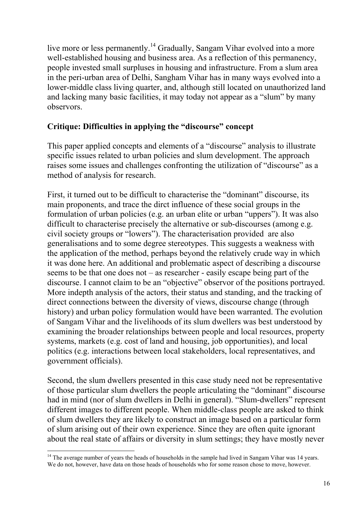live more or less permanently.<sup>14</sup> Gradually, Sangam Vihar evolved into a more well-established housing and business area. As a reflection of this permanency, people invested small surpluses in housing and infrastructure. From a slum area in the peri-urban area of Delhi, Sangham Vihar has in many ways evolved into a lower-middle class living quarter, and, although still located on unauthorized land and lacking many basic facilities, it may today not appear as a "slum" by many observors.

## **Critique: Difficulties in applying the "discourse" concept**

This paper applied concepts and elements of a "discourse" analysis to illustrate specific issues related to urban policies and slum development. The approach raises some issues and challenges confronting the utilization of "discourse" as a method of analysis for research.

First, it turned out to be difficult to characterise the "dominant" discourse, its main proponents, and trace the dirct influence of these social groups in the formulation of urban policies (e.g. an urban elite or urban "uppers"). It was also difficult to characterise precisely the alternative or sub-discourses (among e.g. civil society groups or "lowers"). The characterisation provided are also generalisations and to some degree stereotypes. This suggests a weakness with the application of the method, perhaps beyond the relatively crude way in which it was done here. An additional and problematic aspect of describing a discourse seems to be that one does not – as researcher - easily escape being part of the discourse. I cannot claim to be an "objective" observor of the positions portrayed. More indepth analysis of the actors, their status and standing, and the tracking of direct connections between the diversity of views, discourse change (through history) and urban policy formulation would have been warranted. The evolution of Sangam Vihar and the livelihoods of its slum dwellers was best understood by examining the broader relationships between people and local resources, property systems, markets (e.g. cost of land and housing, job opportunities), and local politics (e.g. interactions between local stakeholders, local representatives, and government officials).

Second, the slum dwellers presented in this case study need not be representative of those particular slum dwellers the people articulating the "dominant" discourse had in mind (nor of slum dwellers in Delhi in general). "Slum-dwellers" represent different images to different people. When middle-class people are asked to think of slum dwellers they are likely to construct an image based on a particular form of slum arising out of their own experience. Since they are often quite ignorant about the real state of affairs or diversity in slum settings; they have mostly never

<span id="page-15-0"></span><sup>&</sup>lt;sup>14</sup> The average number of years the heads of households in the sample had lived in Sangam Vihar was 14 years. We do not, however, have data on those heads of households who for some reason chose to move, however.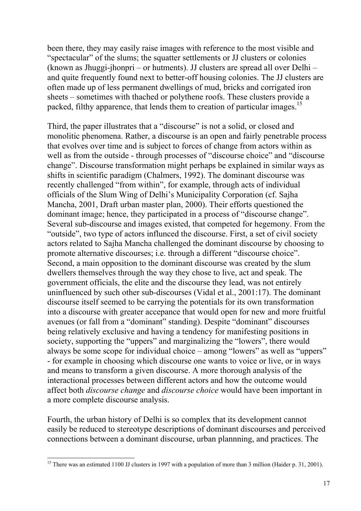been there, they may easily raise images with reference to the most visible and "spectacular" of the slums; the squatter settlements or JJ clusters or colonies (known as Jhuggi-jhonpri – or hutments). JJ clusters are spread all over Delhi – and quite frequently found next to better-off housing colonies. The JJ clusters are often made up of less permanent dwellings of mud, bricks and corrigated iron sheets – sometimes with thached or polythene roofs. These clusters provide a packed, filthy apparence, that lends them to creation of particular images.<sup>[15](#page-16-0)</sup>

Third, the paper illustrates that a "discourse" is not a solid, or closed and monolitic phenomena. Rather, a discourse is an open and fairly penetrable process that evolves over time and is subject to forces of change from actors within as well as from the outside - through processes of "discourse choice" and "discourse change". Discourse transformation might perhaps be explained in similar ways as shifts in scientific paradigm (Chalmers, 1992). The dominant discourse was recently challenged "from within", for example, through acts of individual officials of the Slum Wing of Delhi's Municipality Corporation (cf. Sajha Mancha, 2001, Draft urban master plan, 2000). Their efforts questioned the dominant image; hence, they participated in a process of "discourse change". Several sub-discourse and images existed, that competed for hegemony. From the "outside", two type of actors influnced the discourse. First, a set of civil society actors related to Sajha Mancha challenged the dominant discourse by choosing to promote alternative discourses; i.e. through a different "discourse choice". Second, a main opposition to the dominant discourse was created by the slum dwellers themselves through the way they chose to live, act and speak. The government officials, the elite and the discourse they lead, was not entirely uninfluenced by such other sub-discourses (Vidal et al., 2001:17). The dominant discourse itself seemed to be carrying the potentials for its own transformation into a discourse with greater accepance that would open for new and more fruitful avenues (or fall from a "dominant" standing). Despite "dominant" discourses being relatively exclusive and having a tendency for manifesting positions in society, supporting the "uppers" and marginalizing the "lowers", there would always be some scope for individual choice – among "lowers" as well as "uppers" - for example in choosing which discourse one wants to voice or live, or in ways and means to transform a given discourse. A more thorough analysis of the interactional processes between different actors and how the outcome would affect both *discourse change* and *discourse choice* would have been important in a more complete discourse analysis.

Fourth, the urban history of Delhi is so complex that its development cannot easily be reduced to stereotype descriptions of dominant discourses and perceived connections between a dominant discourse, urban plannning, and practices. The

<span id="page-16-0"></span><sup>&</sup>lt;sup>15</sup> There was an estimated 1100 JJ clusters in 1997 with a population of more than 3 million (Haider p. 31, 2001).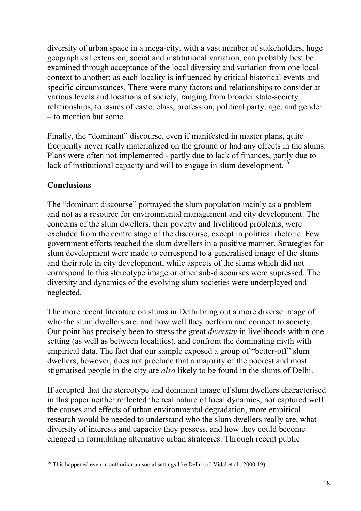diversity of urban space in a mega-city, with a vast number of stakeholders, huge geographical extension, social and institutional variation, can probably best be examined through acceptance of the local diversity and variation from one local context to another; as each locality is influenced by critical historical events and specific circumstances. There were many factors and relationships to consider at various levels and locations of society, ranging from broader state-society relationships, to issues of caste, class, profession, political party, age, and gender – to mention but some.

Finally, the "dominant" discourse, even if manifested in master plans, quite frequently never really materialized on the ground or had any effects in the slums. Plans were often not implemented - partly due to lack of finances, partly due to lack of institutional capacity and will to engage in slum development.<sup>16</sup>

# **Conclusions**

The "dominant discourse" portrayed the slum population mainly as a problem – and not as a resource for environmental management and city development. The concerns of the slum dwellers, their poverty and livelihood problems, were excluded from the centre stage of the discourse, except in political rhetoric. Few government efforts reached the slum dwellers in a positive manner. Strategies for slum development were made to correspond to a generalised image of the slums and their role in city development, while aspects of the slums which did not correspond to this stereotype image or other sub-discourses were supressed. The diversity and dynamics of the evolving slum societies were underplayed and neglected.

The more recent literature on slums in Delhi bring out a more diverse image of who the slum dwellers are, and how well they perform and connect to society. Our point has precisely been to stress the great *diversity* in livelihoods within one setting (as well as between localities), and confront the dominating myth with empirical data. The fact that our sample exposed a group of "better-off" slum dwellers, however, does not preclude that a majority of the poorest and most stigmatised people in the city are *also* likely to be found in the slums of Delhi.

If accepted that the stereotype and dominant image of slum dwellers characterised in this paper neither reflected the real nature of local dynamics, nor captured well the causes and effects of urban environmental degradation, more empirical research would be needed to understand who the slum dwellers really are, what diversity of interests and capacity they possess, and how they could become engaged in formulating alternative urban strategies. Through recent public

<span id="page-17-0"></span><sup>&</sup>lt;sup>16</sup> This happened even in authoritarian social settings like Delhi (cf. Vidal et al., 2000:19).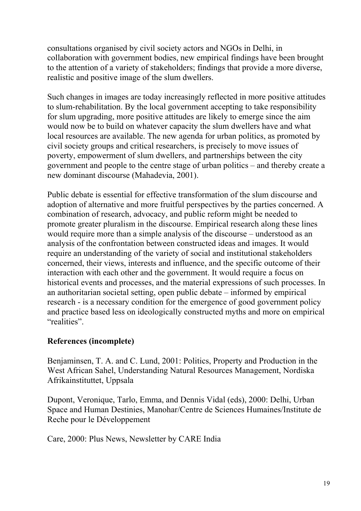consultations organised by civil society actors and NGOs in Delhi, in collaboration with government bodies, new empirical findings have been brought to the attention of a variety of stakeholders; findings that provide a more diverse, realistic and positive image of the slum dwellers.

Such changes in images are today increasingly reflected in more positive attitudes to slum-rehabilitation. By the local government accepting to take responsibility for slum upgrading, more positive attitudes are likely to emerge since the aim would now be to build on whatever capacity the slum dwellers have and what local resources are available. The new agenda for urban politics, as promoted by civil society groups and critical researchers, is precisely to move issues of poverty, empowerment of slum dwellers, and partnerships between the city government and people to the centre stage of urban politics – and thereby create a new dominant discourse (Mahadevia, 2001).

Public debate is essential for effective transformation of the slum discourse and adoption of alternative and more fruitful perspectives by the parties concerned. A combination of research, advocacy, and public reform might be needed to promote greater pluralism in the discourse. Empirical research along these lines would require more than a simple analysis of the discourse – understood as an analysis of the confrontation between constructed ideas and images. It would require an understanding of the variety of social and institutional stakeholders concerned, their views, interests and influence, and the specific outcome of their interaction with each other and the government. It would require a focus on historical events and processes, and the material expressions of such processes. In an authoritarian societal setting, open public debate – informed by empirical research - is a necessary condition for the emergence of good government policy and practice based less on ideologically constructed myths and more on empirical "realities".

## **References (incomplete)**

Benjaminsen, T. A. and C. Lund, 2001: Politics, Property and Production in the West African Sahel, Understanding Natural Resources Management, Nordiska Afrikainstituttet, Uppsala

Dupont, Veronique, Tarlo, Emma, and Dennis Vidal (eds), 2000: Delhi, Urban Space and Human Destinies, Manohar/Centre de Sciences Humaines/Institute de Reche pour le Développement

Care, 2000: Plus News, Newsletter by CARE India